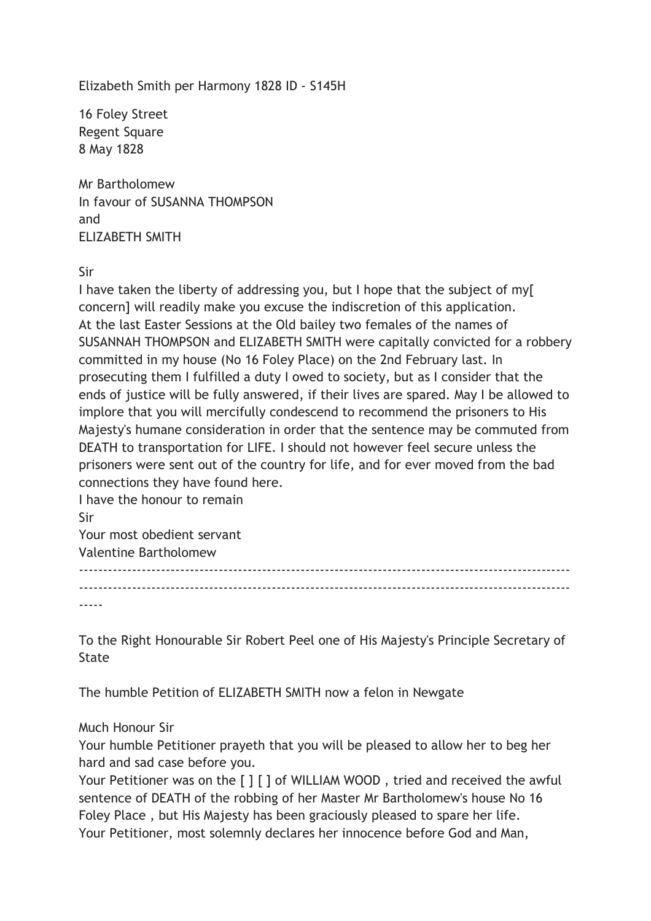Elizabeth Smith per Harmony 1828 ID - S145H

16 Foley Street Regent Square 8 May 1828

Mr Bartholomew In favour of SUSANNA THOMPSON and ELIZABETH SMITH

Sir

I have taken the liberty of addressing you, but I hope that the subject of my[ concern] will readily make you excuse the indiscretion of this application. At the last Easter Sessions at the Old bailey two females of the names of SUSANNAH THOMPSON and ELIZABETH SMITH were capitally convicted for a robbery committed in my house (No 16 Foley Place) on the 2nd February last. In prosecuting them I fulfilled a duty I owed to society, but as I consider that the ends of justice will be fully answered, if their lives are spared. May I be allowed to implore that you will mercifully condescend to recommend the prisoners to His Majesty's humane consideration in order that the sentence may be commuted from DEATH to transportation for LIFE. I should not however feel secure unless the prisoners were sent out of the country for life, and for ever moved from the bad connections they have found here.

I have the honour to remain Sir Your most obedient servant Valentine Bartholomew

------------------------------------------------------------------------------------------------------ ------------------------------------------------------------------------------------------------------

-----

To the Right Honourable Sir Robert Peel one of His Majesty's Principle Secretary of State

The humble Petition of ELIZABETH SMITH now a felon in Newgate

Much Honour Sir

Your humble Petitioner prayeth that you will be pleased to allow her to beg her hard and sad case before you.

Your Petitioner was on the [ ] [ ] of WILLIAM WOOD, tried and received the awful sentence of DEATH of the robbing of her Master Mr Bartholomew's house No 16 Foley Place , but His Majesty has been graciously pleased to spare her life. Your Petitioner, most solemnly declares her innocence before God and Man,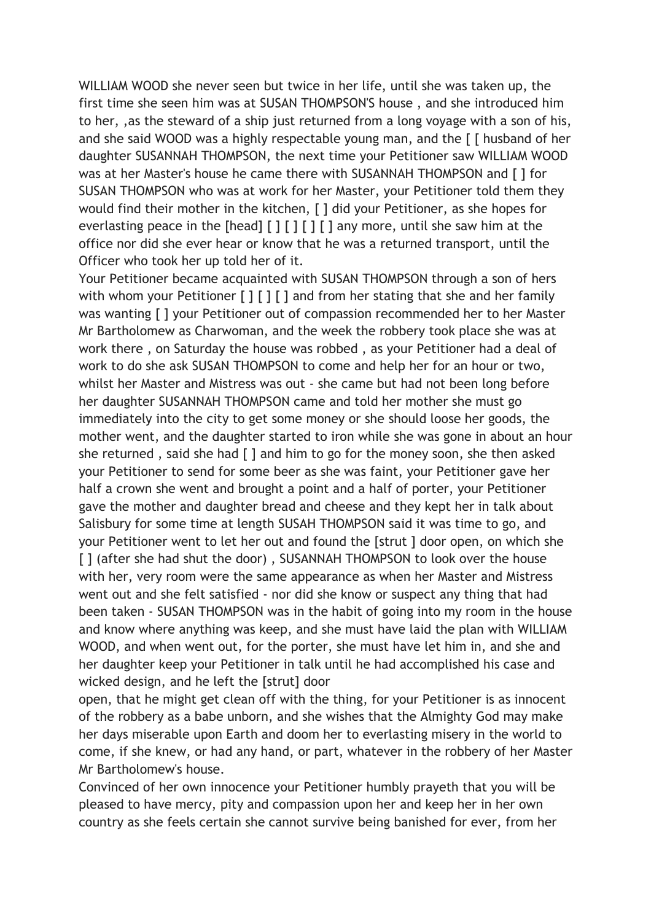WILLIAM WOOD she never seen but twice in her life, until she was taken up, the first time she seen him was at SUSAN THOMPSON'S house , and she introduced him to her, ,as the steward of a ship just returned from a long voyage with a son of his, and she said WOOD was a highly respectable young man, and the [ [ husband of her daughter SUSANNAH THOMPSON, the next time your Petitioner saw WILLIAM WOOD was at her Master's house he came there with SUSANNAH THOMPSON and [ ] for SUSAN THOMPSON who was at work for her Master, your Petitioner told them they would find their mother in the kitchen, [ ] did your Petitioner, as she hopes for everlasting peace in the  $\lceil \frac{\text{head}}{\text{min}} \rceil$   $\lceil \frac{\text{max}}{\text{max}} \rceil$  any more, until she saw him at the office nor did she ever hear or know that he was a returned transport, until the Officer who took her up told her of it.

Your Petitioner became acquainted with SUSAN THOMPSON through a son of hers with whom your Petitioner [ ] [ ] [ ] and from her stating that she and her family was wanting [ ] your Petitioner out of compassion recommended her to her Master Mr Bartholomew as Charwoman, and the week the robbery took place she was at work there , on Saturday the house was robbed , as your Petitioner had a deal of work to do she ask SUSAN THOMPSON to come and help her for an hour or two, whilst her Master and Mistress was out - she came but had not been long before her daughter SUSANNAH THOMPSON came and told her mother she must go immediately into the city to get some money or she should loose her goods, the mother went, and the daughter started to iron while she was gone in about an hour she returned , said she had [ ] and him to go for the money soon, she then asked your Petitioner to send for some beer as she was faint, your Petitioner gave her half a crown she went and brought a point and a half of porter, your Petitioner gave the mother and daughter bread and cheese and they kept her in talk about Salisbury for some time at length SUSAH THOMPSON said it was time to go, and your Petitioner went to let her out and found the [strut ] door open, on which she [] (after she had shut the door), SUSANNAH THOMPSON to look over the house with her, very room were the same appearance as when her Master and Mistress went out and she felt satisfied - nor did she know or suspect any thing that had been taken - SUSAN THOMPSON was in the habit of going into my room in the house and know where anything was keep, and she must have laid the plan with WILLIAM WOOD, and when went out, for the porter, she must have let him in, and she and her daughter keep your Petitioner in talk until he had accomplished his case and wicked design, and he left the [strut] door

open, that he might get clean off with the thing, for your Petitioner is as innocent of the robbery as a babe unborn, and she wishes that the Almighty God may make her days miserable upon Earth and doom her to everlasting misery in the world to come, if she knew, or had any hand, or part, whatever in the robbery of her Master Mr Bartholomew's house.

Convinced of her own innocence your Petitioner humbly prayeth that you will be pleased to have mercy, pity and compassion upon her and keep her in her own country as she feels certain she cannot survive being banished for ever, from her